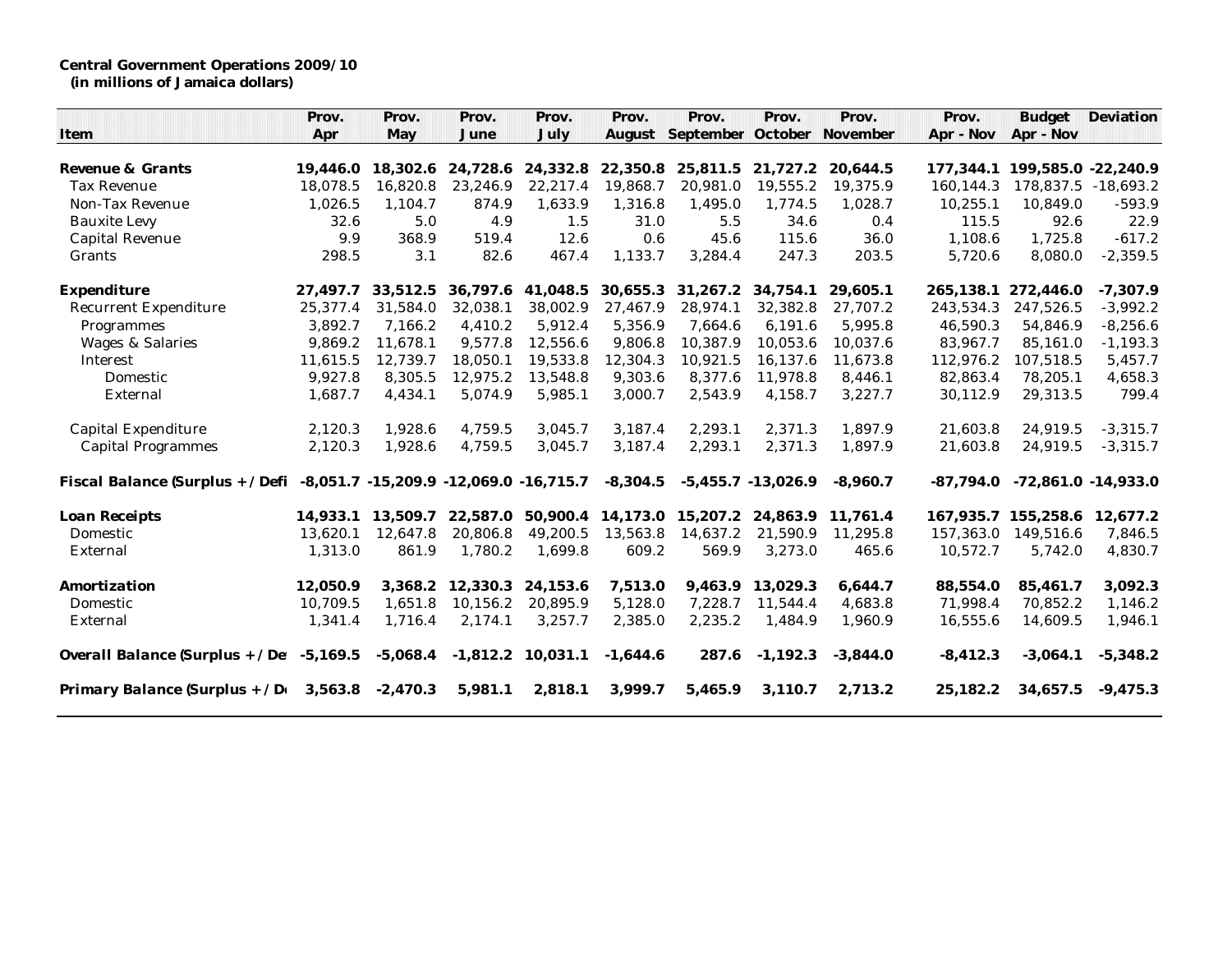**Central Government Operations 2009/10 (in millions of Jamaica dollars)**

|                                                                         | Prov.    | Prov.      | Prov.      | Prov.             | Prov.      | Prov.                             | Prov.                 | Prov.      | Prov.       | <b>Budget</b>         | Deviation  |
|-------------------------------------------------------------------------|----------|------------|------------|-------------------|------------|-----------------------------------|-----------------------|------------|-------------|-----------------------|------------|
| Item                                                                    | Apr      | May        | June       | July              |            | August September October November |                       |            | Apr - Nov   | Apr - Nov             |            |
|                                                                         |          |            |            |                   |            |                                   |                       |            |             |                       |            |
| Revenue & Grants                                                        | 19.446.0 | 18,302.6   |            | 24,728.6 24,332.8 | 22,350.8   | 25,811.5 21,727.2                 |                       | 20,644.5   | 177.344.1   | 199,585.0 -22,240.9   |            |
| <b>Tax Revenue</b>                                                      | 18,078.5 | 16.820.8   | 23,246.9   | 22,217.4          | 19,868.7   | 20,981.0                          | 19,555.2              | 19,375.9   | 160.144.3   | 178,837.5 -18,693.2   |            |
| Non-Tax Revenue                                                         | 1,026.5  | 1,104.7    | 874.9      | 1,633.9           | 1,316.8    | 1,495.0                           | 1,774.5               | 1,028.7    | 10,255.1    | 10,849.0              | $-593.9$   |
| <b>Bauxite Levy</b>                                                     | 32.6     | 5.0        | 4.9        | 1.5               | 31.0       | 5.5                               | 34.6                  | 0.4        | 115.5       | 92.6                  | 22.9       |
| Capital Revenue                                                         | 9.9      | 368.9      | 519.4      | 12.6              | 0.6        | 45.6                              | 115.6                 | 36.0       | 1,108.6     | 1,725.8               | $-617.2$   |
| Grants                                                                  | 298.5    | 3.1        | 82.6       | 467.4             | 1,133.7    | 3,284.4                           | 247.3                 | 203.5      | 5,720.6     | 8,080.0               | $-2,359.5$ |
| Expenditure                                                             | 27,497.7 | 33,512.5   |            | 36,797.6 41,048.5 | 30,655.3   | 31,267.2                          | 34.754.1              | 29,605.1   | 265,138.1   | 272,446.0             | $-7,307.9$ |
| <b>Recurrent Expenditure</b>                                            | 25,377.4 | 31.584.0   | 32,038.1   | 38,002.9          | 27,467.9   | 28,974.1                          | 32,382.8              | 27,707.2   | 243,534.3   | 247,526.5             | $-3,992.2$ |
| Programmes                                                              | 3,892.7  | 7,166.2    | 4,410.2    | 5,912.4           | 5,356.9    | 7,664.6                           | 6,191.6               | 5,995.8    | 46,590.3    | 54,846.9              | $-8,256.6$ |
| Wages & Salaries                                                        | 9,869.2  | 11.678.1   | 9,577.8    | 12,556.6          | 9,806.8    | 10,387.9                          | 10,053.6              | 10,037.6   | 83,967.7    | 85,161.0              | $-1,193.3$ |
| Interest                                                                | 11,615.5 | 12.739.7   | 18,050.1   | 19,533.8          | 12,304.3   | 10,921.5                          | 16.137.6              | 11,673.8   | 112.976.2   | 107,518.5             | 5,457.7    |
| Domestic                                                                | 9,927.8  | 8,305.5    | 12,975.2   | 13,548.8          | 9,303.6    | 8,377.6                           | 11,978.8              | 8,446.1    | 82,863.4    | 78,205.1              | 4,658.3    |
| External                                                                | 1,687.7  | 4,434.1    | 5,074.9    | 5,985.1           | 3,000.7    | 2,543.9                           | 4,158.7               | 3,227.7    | 30,112.9    | 29,313.5              | 799.4      |
| Capital Expenditure                                                     | 2,120.3  | 1,928.6    | 4,759.5    | 3,045.7           | 3,187.4    | 2,293.1                           | 2.371.3               | 1,897.9    | 21,603.8    | 24,919.5              | $-3,315.7$ |
| <b>Capital Programmes</b>                                               | 2,120.3  | 1,928.6    | 4,759.5    | 3,045.7           | 3,187.4    | 2,293.1                           | 2,371.3               | 1,897.9    | 21,603.8    | 24,919.5              | $-3,315.7$ |
| Fiscal Balance (Surplus + / Defi -8,051.7 -15,209.9 -12,069.0 -16,715.7 |          |            |            |                   | $-8,304.5$ |                                   | $-5,455.7 - 13,026.9$ | $-8,960.7$ | $-87.794.0$ | $-72,861.0 -14,933.0$ |            |
| Loan Receipts                                                           | 14,933.1 | 13,509.7   | 22,587.0   | 50,900.4          | 14,173.0   | 15,207.2                          | 24,863.9              | 11,761.4   | 167,935.7   | 155,258.6             | 12,677.2   |
| Domestic                                                                | 13.620.1 | 12.647.8   | 20,806.8   | 49,200.5          | 13,563.8   | 14,637.2                          | 21,590.9              | 11,295.8   | 157,363.0   | 149,516.6             | 7,846.5    |
| External                                                                | 1,313.0  | 861.9      | 1,780.2    | 1,699.8           | 609.2      | 569.9                             | 3,273.0               | 465.6      | 10,572.7    | 5,742.0               | 4,830.7    |
| Amortization                                                            | 12,050.9 | 3.368.2    | 12,330.3   | 24,153.6          | 7,513.0    | 9.463.9                           | 13,029.3              | 6,644.7    | 88,554.0    | 85,461.7              | 3,092.3    |
| Domestic                                                                | 10,709.5 | 1.651.8    | 10,156.2   | 20,895.9          | 5,128.0    | 7,228.7                           | 11,544.4              | 4,683.8    | 71,998.4    | 70,852.2              | 1,146.2    |
| External                                                                | 1,341.4  | 1,716.4    | 2,174.1    | 3,257.7           | 2,385.0    | 2,235.2                           | 1,484.9               | 1,960.9    | 16,555.6    | 14,609.5              | 1,946.1    |
| Overall Balance (Surplus + $/$ De: $-5,169.5$                           |          | $-5,068.4$ | $-1,812.2$ | 10,031.1          | $-1,644.6$ | 287.6                             | $-1,192.3$            | $-3,844.0$ | $-8,412.3$  | $-3,064.1$            | $-5,348.2$ |
| Primary Balance (Surplus + / $D_f$ 3,563.8 -2,470.3                     |          |            | 5,981.1    | 2,818.1           | 3,999.7    | 5,465.9                           | 3,110.7               | 2,713.2    | 25,182.2    | 34,657.5              | $-9,475.3$ |